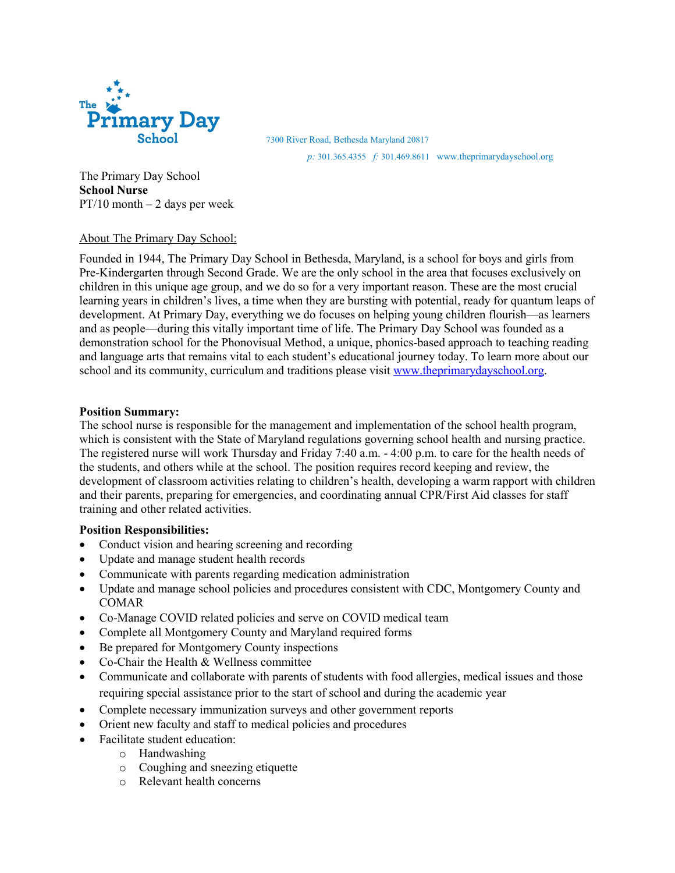

7300 River Road, Bethesda Maryland 20817

*p:* 301.365.4355 *f:* 301.469.8611 www.theprimarydayschool.org

The Primary Day School **School Nurse**  $PT/10$  month  $-2$  days per week

# About The Primary Day School:

Founded in 1944, The Primary Day School in Bethesda, Maryland, is a school for boys and girls from Pre-Kindergarten through Second Grade. We are the only school in the area that focuses exclusively on children in this unique age group, and we do so for a very important reason. These are the most crucial learning years in children's lives, a time when they are bursting with potential, ready for quantum leaps of development. At Primary Day, everything we do focuses on helping young children flourish—as learners and as people—during this vitally important time of life. The Primary Day School was founded as a demonstration school for the Phonovisual Method, a unique, phonics-based approach to teaching reading and language arts that remains vital to each student's educational journey today. To learn more about our school and its community, curriculum and traditions please visi[t www.theprimarydayschool.org.](http://www.theprimarydayschool.org/)

### **Position Summary:**

The school nurse is responsible for the management and implementation of the school health program, which is consistent with the State of Maryland regulations governing school health and nursing practice. The registered nurse will work Thursday and Friday 7:40 a.m. - 4:00 p.m. to care for the health needs of the students, and others while at the school. The position requires record keeping and review, the development of classroom activities relating to children's health, developing a warm rapport with children and their parents, preparing for emergencies, and coordinating annual CPR/First Aid classes for staff training and other related activities.

### **Position Responsibilities:**

- Conduct vision and hearing screening and recording
- Update and manage student health records
- Communicate with parents regarding medication administration
- Update and manage school policies and procedures consistent with CDC, Montgomery County and COMAR
- Co-Manage COVID related policies and serve on COVID medical team
- Complete all Montgomery County and Maryland required forms
- Be prepared for Montgomery County inspections
- Co-Chair the Health & Wellness committee
- Communicate and collaborate with parents of students with food allergies, medical issues and those requiring special assistance prior to the start of school and during the academic year
- Complete necessary immunization surveys and other government reports
- Orient new faculty and staff to medical policies and procedures
- Facilitate student education:
	- o Handwashing
	- o Coughing and sneezing etiquette
	- o Relevant health concerns